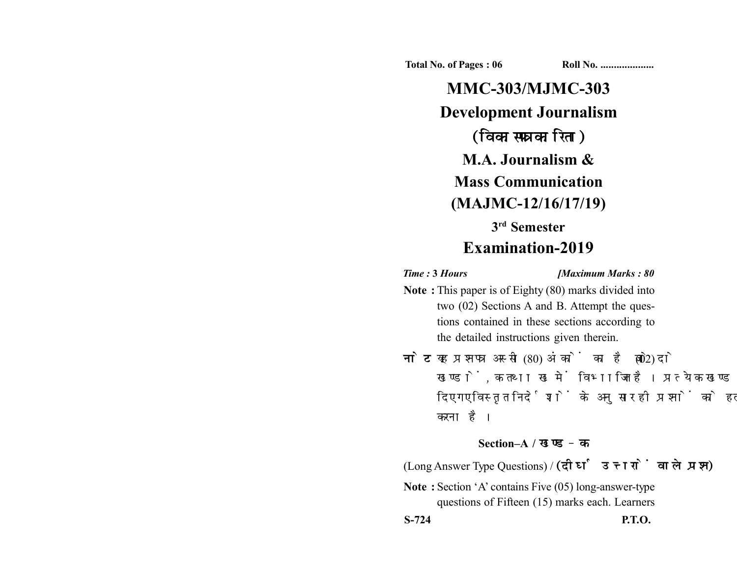**Total No. of Pages : 06 Roll No. ...................** 

**MMC-303/MJMC-303 Development Journalism** (विकासपत्रकारिता) **M.A. Journalism & Mass Communication (MAJMC-12/16/17/19) 3rd Semester Examination-2019**

*Time :* **3** *Hours [Maximum Marks : 80*

- **Note :** This paper is of Eighty (80) marks divided into two (02) Sections A and B. Attempt the questions contained in these sections according to the detailed instructions given therein.
- नोट: यह प्रश्नपत्र अस्सी (80) अंकों का है जो दो (02) खण्डों, क तथा ख में विभाजित है। प्रत्येक खण्ड में दिए गए विस्तृत निर्देशों के अनुसार ही प्रश्नों को हल करना है।

## **Section–A /**

(Long Answer Type Questions) / (दीर्घ उत्तरों वाले प्रश्न)

**Note :** Section 'A' contains Five (05) long-answer-type questions of Fifteen (15) marks each. Learners

**S-724 P.T.O.**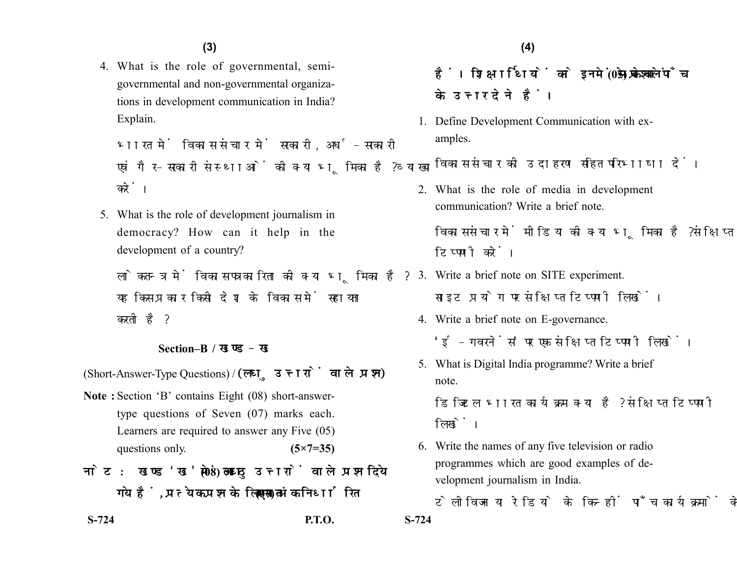4. What is the role of governmental, semigovernmental and non-governmental organizations in development communication in India? Explain.

भारत में विकास संचार में सरकारी. अर्ध-सरकारी एवं गैर-सरकारी संस्थाओं की क्या भूमिका है? व्याख्या करें।

5. What is the role of development journalism in democracy? How can it help in the development of a country?

लोकतन्त्र में विकास पत्रकारिता की क्या भूमिका है? यह किस प्रकार किसी देश के विकास में सहायता करती है?

## **Section–B /**

(Short-Answer-Type Questions) / (लघु उत्तरों वाले प्रश्न)

**Note :** Section 'B' contains Eight (08) short-answertype questions of Seven (07) marks each. Learners are required to answer any Five (05) questions only. **(5×7=35)** 

नोट: खण्ड'ख' में आठ (08) लघु उत्तरों वाले प्रश्न दिये गये हैं, प्रत्येक प्रश्न के लिए सात (07) अंक निर्धारित

**S-724 P.T.O. S-724**

हैं। शिक्षार्थियों को इनमें से केवल पाँच (05) प्रश्नों के उत्तर देने हैं।

1. Define Development Communication with examples.

विकास संचार की उदाहरण सहित परिभाषा दें।

2. What is the role of media in development communication? Write a brief note.

विकास संचार में मीडिया की क्या भूमिका है? संक्षिप्त टिप्पणी करें।

- 3. Write a brief note on SITE experiment. साइट प्रयोग पर संक्षिप्त टिप्पणी लिखें।
- 4. Write a brief note on E-governance. 'ई-गवरनेंस' पर एक संक्षिप्त टिप्पणी लिखें।
- 5. What is Digital India programme? Write a brief note.

डिजिटल भारत कार्यक्रम क्या है? संक्षिप्त टिप्पणी लिखें।

6. Write the names of any five television or radio programmes which are good examples of development journalism in India.

टेलीविजन या रेडियो के किन्हीं पाँच कार्यक्रमों के